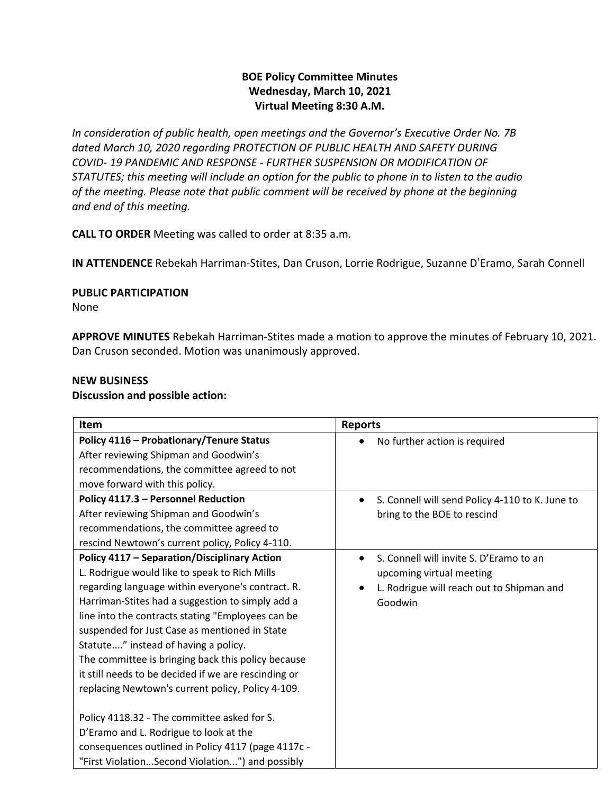# **BOE Policy Committee Minutes Wednesday, March 10, 2021 Virtual Meeting 8:30 A.M.**

*In consideration of public health, open meetings and the Governor's Executive Order No. 7B dated March 10, 2020 regarding PROTECTION OF PUBLIC HEALTH AND SAFETY DURING COVID- 19 PANDEMIC AND RESPONSE - FURTHER SUSPENSION OR MODIFICATION OF STATUTES; this meeting will include an option for the public to phone in to listen to the audio of the meeting. Please note that public comment will be received by phone at the beginning and end of this meeting.*

**CALL TO ORDER** Meeting was called to order at 8:35 a.m.

**IN ATTENDENCE** Rebekah Harriman-Stites, Dan Cruson, Lorrie Rodrigue, Suzanne D'Eramo, Sarah Connell

#### **PUBLIC PARTICIPATION**

None

**APPROVE MINUTES** Rebekah Harriman-Stites made a motion to approve the minutes of February 10, 2021. Dan Cruson seconded. Motion was unanimously approved.

## **NEW BUSINESS**

#### **Discussion and possible action:**

| Item                                                 | <b>Reports</b>                                  |
|------------------------------------------------------|-------------------------------------------------|
| Policy 4116 - Probationary/Tenure Status             | No further action is required                   |
| After reviewing Shipman and Goodwin's                |                                                 |
| recommendations, the committee agreed to not         |                                                 |
| move forward with this policy.                       |                                                 |
| Policy 4117.3 - Personnel Reduction                  | S. Connell will send Policy 4-110 to K. June to |
| After reviewing Shipman and Goodwin's                | bring to the BOE to rescind                     |
| recommendations, the committee agreed to             |                                                 |
| rescind Newtown's current policy, Policy 4-110.      |                                                 |
| <b>Policy 4117 - Separation/Disciplinary Action</b>  | S. Connell will invite S. D'Eramo to an         |
| L. Rodrigue would like to speak to Rich Mills        | upcoming virtual meeting                        |
| regarding language within everyone's contract. R.    | L. Rodrigue will reach out to Shipman and       |
| Harriman-Stites had a suggestion to simply add a     | Goodwin                                         |
| line into the contracts stating "Employees can be    |                                                 |
| suspended for Just Case as mentioned in State        |                                                 |
| Statute" instead of having a policy.                 |                                                 |
| The committee is bringing back this policy because   |                                                 |
| it still needs to be decided if we are rescinding or |                                                 |
| replacing Newtown's current policy, Policy 4-109.    |                                                 |
|                                                      |                                                 |
| Policy 4118.32 - The committee asked for S.          |                                                 |
| D'Eramo and L. Rodrigue to look at the               |                                                 |
| consequences outlined in Policy 4117 (page 4117c -   |                                                 |
| "First ViolationSecond Violation") and possibly      |                                                 |